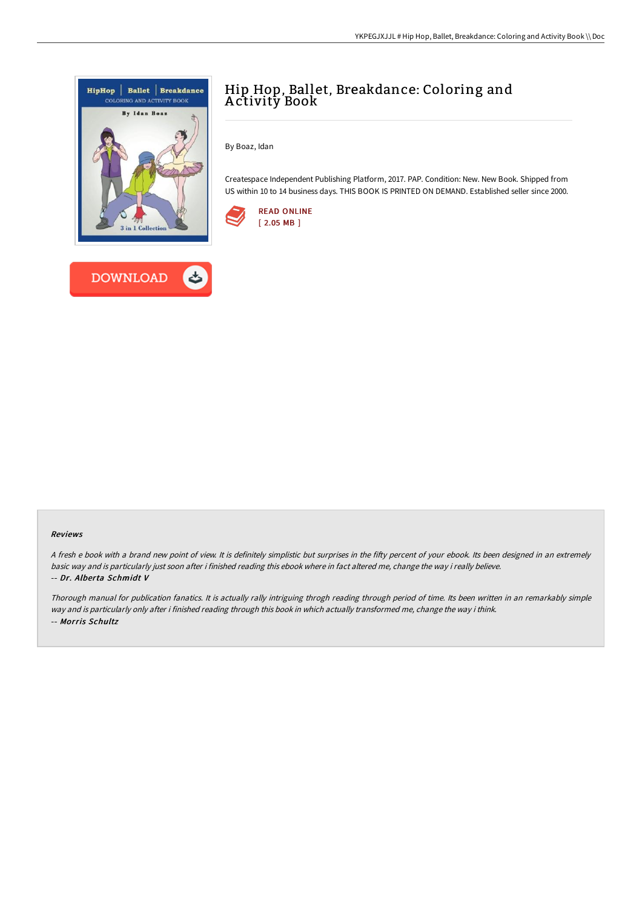



By Boaz, Idan

Createspace Independent Publishing Platform, 2017. PAP. Condition: New. New Book. Shipped from US within 10 to 14 business days. THIS BOOK IS PRINTED ON DEMAND. Established seller since 2000.



## Reviews

A fresh e book with a brand new point of view. It is definitely simplistic but surprises in the fifty percent of your ebook. Its been designed in an extremely basic way and is particularly just soon after i finished reading this ebook where in fact altered me, change the way i really believe. -- Dr. Alberta Schmidt V

Thorough manual for publication fanatics. It is actually rally intriguing throgh reading through period of time. Its been written in an remarkably simple way and is particularly only after i finished reading through this book in which actually transformed me, change the way i think. -- Morris Schultz